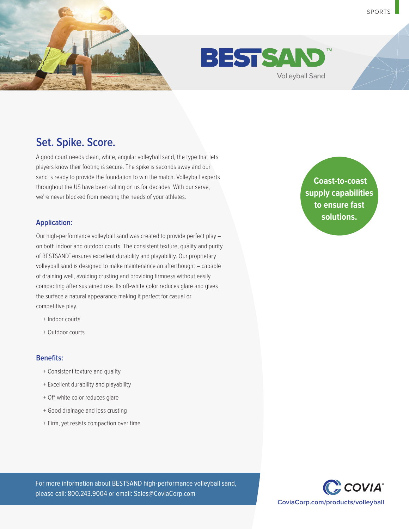



## **Set. Spike. Score.**

A good court needs clean, white, angular volleyball sand, the type that lets players know their footing is secure. The spike is seconds away and our sand is ready to provide the foundation to win the match. Volleyball experts throughout the US have been calling on us for decades. With our serve, we're never blocked from meeting the needs of your athletes.

#### **Application:**

Our high-performance volleyball sand was created to provide perfect play – on both indoor and outdoor courts. The consistent texture, quality and purity of BESTSAND™ ensures excellent durability and playability. Our proprietary volleyball sand is designed to make maintenance an afterthought – capable of draining well, avoiding crusting and providing firmness without easily compacting after sustained use. Its off-white color reduces glare and gives the surface a natural appearance making it perfect for casual or competitive play.

- + Indoor courts
- + Outdoor courts

#### **Benefits:**

- + Consistent texture and quality
- + Excellent durability and playability
- + Off-white color reduces glare
- + Good drainage and less crusting
- + Firm, yet resists compaction over time

**reduction Coast-to-coast supply capabilities to ensure fast solutions.**

For more information about BESTSAND high-performance volleyball sand, please call: 800.243.9004 or email: Sales@CoviaCorp.com